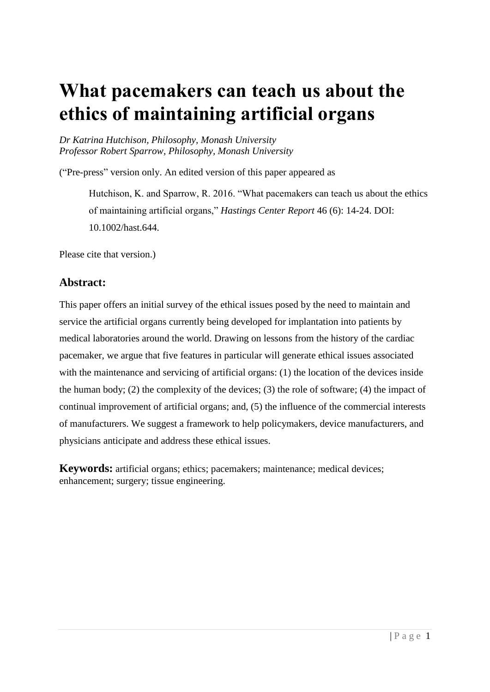### **What pacemakers can teach us about the ethics of maintaining artificial organs**

*Dr Katrina Hutchison, Philosophy, Monash University Professor Robert Sparrow, Philosophy, Monash University* 

("Pre-press" version only. An edited version of this paper appeared as

Hutchison, K. and Sparrow, R. 2016. "What pacemakers can teach us about the ethics of maintaining artificial organs," *Hastings Center Report* 46 (6): 14-24. DOI: 10.1002/hast.644.

Please cite that version.)

#### **Abstract:**

This paper offers an initial survey of the ethical issues posed by the need to maintain and service the artificial organs currently being developed for implantation into patients by medical laboratories around the world. Drawing on lessons from the history of the cardiac pacemaker, we argue that five features in particular will generate ethical issues associated with the maintenance and servicing of artificial organs: (1) the location of the devices inside the human body; (2) the complexity of the devices; (3) the role of software; (4) the impact of continual improvement of artificial organs; and, (5) the influence of the commercial interests of manufacturers. We suggest a framework to help policymakers, device manufacturers, and physicians anticipate and address these ethical issues.

**Keywords:** artificial organs; ethics; pacemakers; maintenance; medical devices; enhancement; surgery; tissue engineering.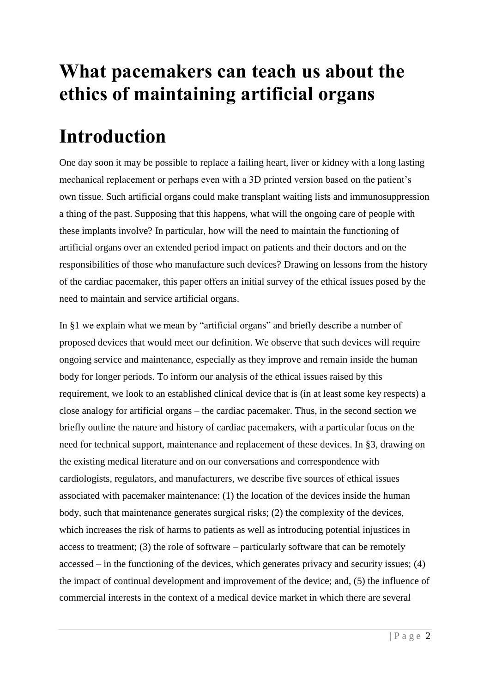### **What pacemakers can teach us about the ethics of maintaining artificial organs**

### **Introduction**

One day soon it may be possible to replace a failing heart, liver or kidney with a long lasting mechanical replacement or perhaps even with a 3D printed version based on the patient's own tissue. Such artificial organs could make transplant waiting lists and immunosuppression a thing of the past. Supposing that this happens, what will the ongoing care of people with these implants involve? In particular, how will the need to maintain the functioning of artificial organs over an extended period impact on patients and their doctors and on the responsibilities of those who manufacture such devices? Drawing on lessons from the history of the cardiac pacemaker, this paper offers an initial survey of the ethical issues posed by the need to maintain and service artificial organs.

In §1 we explain what we mean by "artificial organs" and briefly describe a number of proposed devices that would meet our definition. We observe that such devices will require ongoing service and maintenance, especially as they improve and remain inside the human body for longer periods. To inform our analysis of the ethical issues raised by this requirement, we look to an established clinical device that is (in at least some key respects) a close analogy for artificial organs – the cardiac pacemaker. Thus, in the second section we briefly outline the nature and history of cardiac pacemakers, with a particular focus on the need for technical support, maintenance and replacement of these devices. In §3, drawing on the existing medical literature and on our conversations and correspondence with cardiologists, regulators, and manufacturers, we describe five sources of ethical issues associated with pacemaker maintenance: (1) the location of the devices inside the human body, such that maintenance generates surgical risks; (2) the complexity of the devices, which increases the risk of harms to patients as well as introducing potential injustices in access to treatment; (3) the role of software – particularly software that can be remotely accessed – in the functioning of the devices, which generates privacy and security issues; (4) the impact of continual development and improvement of the device; and, (5) the influence of commercial interests in the context of a medical device market in which there are several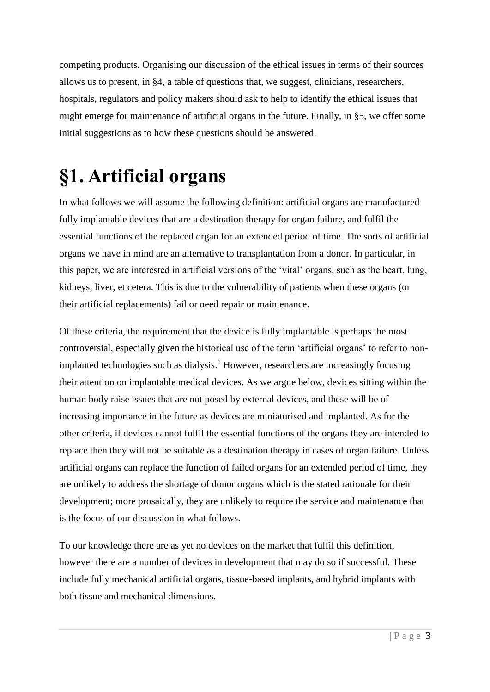competing products. Organising our discussion of the ethical issues in terms of their sources allows us to present, in §4, a table of questions that, we suggest, clinicians, researchers, hospitals, regulators and policy makers should ask to help to identify the ethical issues that might emerge for maintenance of artificial organs in the future. Finally, in §5, we offer some initial suggestions as to how these questions should be answered.

# **§1. Artificial organs**

In what follows we will assume the following definition: artificial organs are manufactured fully implantable devices that are a destination therapy for organ failure, and fulfil the essential functions of the replaced organ for an extended period of time. The sorts of artificial organs we have in mind are an alternative to transplantation from a donor. In particular, in this paper, we are interested in artificial versions of the 'vital' organs, such as the heart, lung, kidneys, liver, et cetera. This is due to the vulnerability of patients when these organs (or their artificial replacements) fail or need repair or maintenance.

Of these criteria, the requirement that the device is fully implantable is perhaps the most controversial, especially given the historical use of the term 'artificial organs' to refer to nonimplanted technologies such as dialysis.<sup>1</sup> However, researchers are increasingly focusing their attention on implantable medical devices. As we argue below, devices sitting within the human body raise issues that are not posed by external devices, and these will be of increasing importance in the future as devices are miniaturised and implanted. As for the other criteria, if devices cannot fulfil the essential functions of the organs they are intended to replace then they will not be suitable as a destination therapy in cases of organ failure. Unless artificial organs can replace the function of failed organs for an extended period of time, they are unlikely to address the shortage of donor organs which is the stated rationale for their development; more prosaically, they are unlikely to require the service and maintenance that is the focus of our discussion in what follows.

To our knowledge there are as yet no devices on the market that fulfil this definition, however there are a number of devices in development that may do so if successful. These include fully mechanical artificial organs, tissue-based implants, and hybrid implants with both tissue and mechanical dimensions.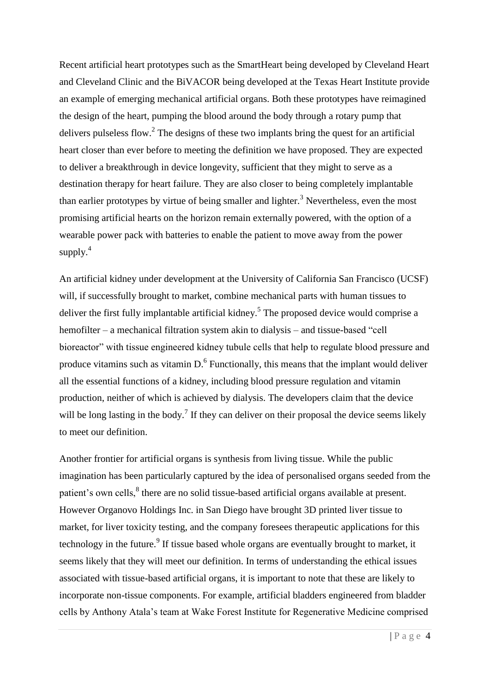Recent artificial heart prototypes such as the SmartHeart being developed by Cleveland Heart and Cleveland Clinic and the BiVACOR being developed at the Texas Heart Institute provide an example of emerging mechanical artificial organs. Both these prototypes have reimagined the design of the heart, pumping the blood around the body through a rotary pump that delivers pulseless flow.<sup>2</sup> The designs of these two implants bring the quest for an artificial heart closer than ever before to meeting the definition we have proposed. They are expected to deliver a breakthrough in device longevity, sufficient that they might to serve as a destination therapy for heart failure. They are also closer to being completely implantable than earlier prototypes by virtue of being smaller and lighter.<sup>3</sup> Nevertheless, even the most promising artificial hearts on the horizon remain externally powered, with the option of a wearable power pack with batteries to enable the patient to move away from the power supply.<sup>4</sup>

An artificial kidney under development at the University of California San Francisco (UCSF) will, if successfully brought to market, combine mechanical parts with human tissues to deliver the first fully implantable artificial kidney.<sup>5</sup> The proposed device would comprise a hemofilter – a mechanical filtration system akin to dialysis – and tissue-based "cell bioreactor" with tissue engineered kidney tubule cells that help to regulate blood pressure and produce vitamins such as vitamin  $D<sup>6</sup>$  Functionally, this means that the implant would deliver all the essential functions of a kidney, including blood pressure regulation and vitamin production, neither of which is achieved by dialysis. The developers claim that the device will be long lasting in the body.<sup>7</sup> If they can deliver on their proposal the device seems likely to meet our definition.

Another frontier for artificial organs is synthesis from living tissue. While the public imagination has been particularly captured by the idea of personalised organs seeded from the patient's own cells,<sup>8</sup> there are no solid tissue-based artificial organs available at present. However Organovo Holdings Inc. in San Diego have brought 3D printed liver tissue to market, for liver toxicity testing, and the company foresees therapeutic applications for this technology in the future.<sup>9</sup> If tissue based whole organs are eventually brought to market, it seems likely that they will meet our definition. In terms of understanding the ethical issues associated with tissue-based artificial organs, it is important to note that these are likely to incorporate non-tissue components. For example, artificial bladders engineered from bladder cells by Anthony Atala's team at Wake Forest Institute for Regenerative Medicine comprised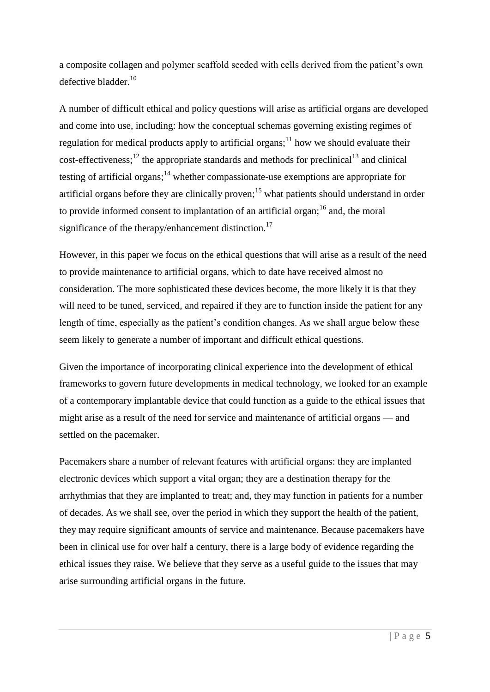a composite collagen and polymer scaffold seeded with cells derived from the patient's own defective bladder.<sup>10</sup>

A number of difficult ethical and policy questions will arise as artificial organs are developed and come into use, including: how the conceptual schemas governing existing regimes of regulation for medical products apply to artificial organs;<sup>11</sup> how we should evaluate their cost-effectiveness;<sup>12</sup> the appropriate standards and methods for preclinical<sup>13</sup> and clinical testing of artificial organs;<sup>14</sup> whether compassionate-use exemptions are appropriate for artificial organs before they are clinically proven;<sup>15</sup> what patients should understand in order to provide informed consent to implantation of an artificial organ;<sup>16</sup> and, the moral significance of the therapy/enhancement distinction.<sup>17</sup>

However, in this paper we focus on the ethical questions that will arise as a result of the need to provide maintenance to artificial organs, which to date have received almost no consideration. The more sophisticated these devices become, the more likely it is that they will need to be tuned, serviced, and repaired if they are to function inside the patient for any length of time, especially as the patient's condition changes. As we shall argue below these seem likely to generate a number of important and difficult ethical questions.

Given the importance of incorporating clinical experience into the development of ethical frameworks to govern future developments in medical technology, we looked for an example of a contemporary implantable device that could function as a guide to the ethical issues that might arise as a result of the need for service and maintenance of artificial organs — and settled on the pacemaker.

Pacemakers share a number of relevant features with artificial organs: they are implanted electronic devices which support a vital organ; they are a destination therapy for the arrhythmias that they are implanted to treat; and, they may function in patients for a number of decades. As we shall see, over the period in which they support the health of the patient, they may require significant amounts of service and maintenance. Because pacemakers have been in clinical use for over half a century, there is a large body of evidence regarding the ethical issues they raise. We believe that they serve as a useful guide to the issues that may arise surrounding artificial organs in the future.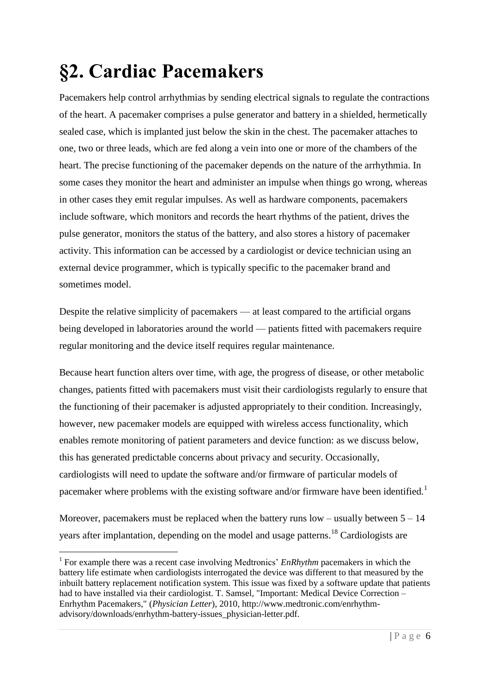# **§2. Cardiac Pacemakers**

Pacemakers help control arrhythmias by sending electrical signals to regulate the contractions of the heart. A pacemaker comprises a pulse generator and battery in a shielded, hermetically sealed case, which is implanted just below the skin in the chest. The pacemaker attaches to one, two or three leads, which are fed along a vein into one or more of the chambers of the heart. The precise functioning of the pacemaker depends on the nature of the arrhythmia. In some cases they monitor the heart and administer an impulse when things go wrong, whereas in other cases they emit regular impulses. As well as hardware components, pacemakers include software, which monitors and records the heart rhythms of the patient, drives the pulse generator, monitors the status of the battery, and also stores a history of pacemaker activity. This information can be accessed by a cardiologist or device technician using an external device programmer, which is typically specific to the pacemaker brand and sometimes model.

Despite the relative simplicity of pacemakers — at least compared to the artificial organs being developed in laboratories around the world — patients fitted with pacemakers require regular monitoring and the device itself requires regular maintenance.

Because heart function alters over time, with age, the progress of disease, or other metabolic changes, patients fitted with pacemakers must visit their cardiologists regularly to ensure that the functioning of their pacemaker is adjusted appropriately to their condition. Increasingly, however, new pacemaker models are equipped with wireless access functionality, which enables remote monitoring of patient parameters and device function: as we discuss below, this has generated predictable concerns about privacy and security. Occasionally, cardiologists will need to update the software and/or firmware of particular models of pacemaker where problems with the existing software and/or firmware have been identified.<sup>1</sup>

Moreover, pacemakers must be replaced when the battery runs  $low$  – usually between  $5 - 14$ years after implantation, depending on the model and usage patterns.<sup>18</sup> Cardiologists are

1

<sup>&</sup>lt;sup>1</sup> For example there was a recent case involving Medtronics' *EnRhythm* pacemakers in which the battery life estimate when cardiologists interrogated the device was different to that measured by the inbuilt battery replacement notification system. This issue was fixed by a software update that patients had to have installed via their cardiologist. T. Samsel, "Important: Medical Device Correction – Enrhythm Pacemakers," (*Physician Letter*), 2010, http://www.medtronic.com/enrhythmadvisory/downloads/enrhythm-battery-issues\_physician-letter.pdf.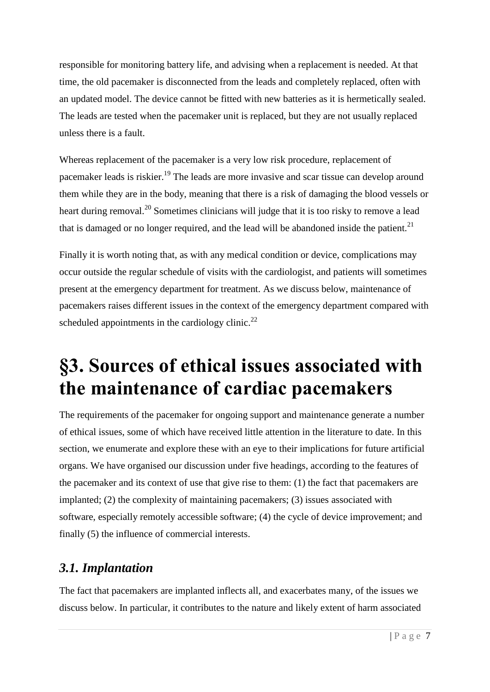responsible for monitoring battery life, and advising when a replacement is needed. At that time, the old pacemaker is disconnected from the leads and completely replaced, often with an updated model. The device cannot be fitted with new batteries as it is hermetically sealed. The leads are tested when the pacemaker unit is replaced, but they are not usually replaced unless there is a fault.

Whereas replacement of the pacemaker is a very low risk procedure, replacement of pacemaker leads is riskier.<sup>19</sup> The leads are more invasive and scar tissue can develop around them while they are in the body, meaning that there is a risk of damaging the blood vessels or heart during removal.<sup>20</sup> Sometimes clinicians will judge that it is too risky to remove a lead that is damaged or no longer required, and the lead will be abandoned inside the patient.<sup>21</sup>

Finally it is worth noting that, as with any medical condition or device, complications may occur outside the regular schedule of visits with the cardiologist, and patients will sometimes present at the emergency department for treatment. As we discuss below, maintenance of pacemakers raises different issues in the context of the emergency department compared with scheduled appointments in the cardiology clinic. $^{22}$ 

## **§3. Sources of ethical issues associated with the maintenance of cardiac pacemakers**

The requirements of the pacemaker for ongoing support and maintenance generate a number of ethical issues, some of which have received little attention in the literature to date. In this section, we enumerate and explore these with an eye to their implications for future artificial organs. We have organised our discussion under five headings, according to the features of the pacemaker and its context of use that give rise to them: (1) the fact that pacemakers are implanted; (2) the complexity of maintaining pacemakers; (3) issues associated with software, especially remotely accessible software; (4) the cycle of device improvement; and finally (5) the influence of commercial interests.

### *3.1. Implantation*

The fact that pacemakers are implanted inflects all, and exacerbates many, of the issues we discuss below. In particular, it contributes to the nature and likely extent of harm associated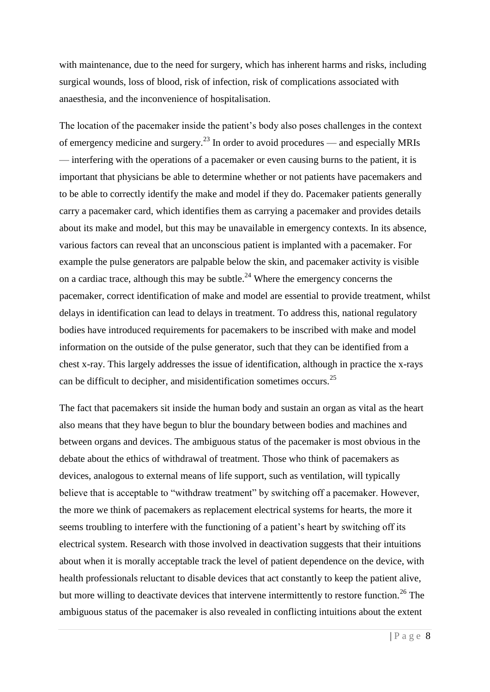with maintenance, due to the need for surgery, which has inherent harms and risks, including surgical wounds, loss of blood, risk of infection, risk of complications associated with anaesthesia, and the inconvenience of hospitalisation.

The location of the pacemaker inside the patient's body also poses challenges in the context of emergency medicine and surgery.<sup>23</sup> In order to avoid procedures — and especially MRIs — interfering with the operations of a pacemaker or even causing burns to the patient, it is important that physicians be able to determine whether or not patients have pacemakers and to be able to correctly identify the make and model if they do. Pacemaker patients generally carry a pacemaker card, which identifies them as carrying a pacemaker and provides details about its make and model, but this may be unavailable in emergency contexts. In its absence, various factors can reveal that an unconscious patient is implanted with a pacemaker. For example the pulse generators are palpable below the skin, and pacemaker activity is visible on a cardiac trace, although this may be subtle.<sup>24</sup> Where the emergency concerns the pacemaker, correct identification of make and model are essential to provide treatment, whilst delays in identification can lead to delays in treatment. To address this, national regulatory bodies have introduced requirements for pacemakers to be inscribed with make and model information on the outside of the pulse generator, such that they can be identified from a chest x-ray. This largely addresses the issue of identification, although in practice the x-rays can be difficult to decipher, and misidentification sometimes occurs.<sup>25</sup>

The fact that pacemakers sit inside the human body and sustain an organ as vital as the heart also means that they have begun to blur the boundary between bodies and machines and between organs and devices. The ambiguous status of the pacemaker is most obvious in the debate about the ethics of withdrawal of treatment. Those who think of pacemakers as devices, analogous to external means of life support, such as ventilation, will typically believe that is acceptable to "withdraw treatment" by switching off a pacemaker. However, the more we think of pacemakers as replacement electrical systems for hearts, the more it seems troubling to interfere with the functioning of a patient's heart by switching off its electrical system. Research with those involved in deactivation suggests that their intuitions about when it is morally acceptable track the level of patient dependence on the device, with health professionals reluctant to disable devices that act constantly to keep the patient alive, but more willing to deactivate devices that intervene intermittently to restore function.<sup>26</sup> The ambiguous status of the pacemaker is also revealed in conflicting intuitions about the extent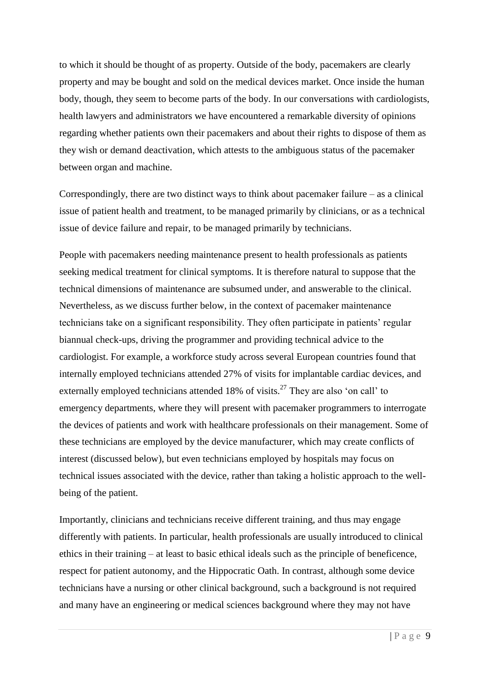to which it should be thought of as property. Outside of the body, pacemakers are clearly property and may be bought and sold on the medical devices market. Once inside the human body, though, they seem to become parts of the body. In our conversations with cardiologists, health lawyers and administrators we have encountered a remarkable diversity of opinions regarding whether patients own their pacemakers and about their rights to dispose of them as they wish or demand deactivation, which attests to the ambiguous status of the pacemaker between organ and machine.

Correspondingly, there are two distinct ways to think about pacemaker failure  $-$  as a clinical issue of patient health and treatment, to be managed primarily by clinicians, or as a technical issue of device failure and repair, to be managed primarily by technicians.

People with pacemakers needing maintenance present to health professionals as patients seeking medical treatment for clinical symptoms. It is therefore natural to suppose that the technical dimensions of maintenance are subsumed under, and answerable to the clinical. Nevertheless, as we discuss further below, in the context of pacemaker maintenance technicians take on a significant responsibility. They often participate in patients' regular biannual check-ups, driving the programmer and providing technical advice to the cardiologist. For example, a workforce study across several European countries found that internally employed technicians attended 27% of visits for implantable cardiac devices, and externally employed technicians attended 18% of visits.<sup>27</sup> They are also 'on call' to emergency departments, where they will present with pacemaker programmers to interrogate the devices of patients and work with healthcare professionals on their management. Some of these technicians are employed by the device manufacturer, which may create conflicts of interest (discussed below), but even technicians employed by hospitals may focus on technical issues associated with the device, rather than taking a holistic approach to the wellbeing of the patient.

Importantly, clinicians and technicians receive different training, and thus may engage differently with patients. In particular, health professionals are usually introduced to clinical ethics in their training – at least to basic ethical ideals such as the principle of beneficence, respect for patient autonomy, and the Hippocratic Oath. In contrast, although some device technicians have a nursing or other clinical background, such a background is not required and many have an engineering or medical sciences background where they may not have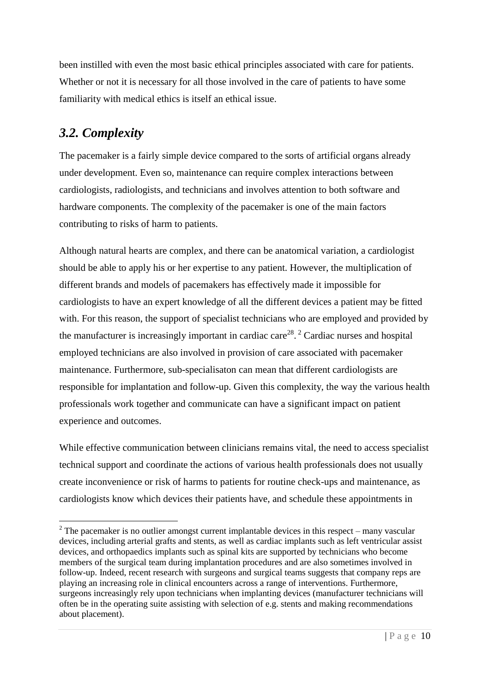been instilled with even the most basic ethical principles associated with care for patients. Whether or not it is necessary for all those involved in the care of patients to have some familiarity with medical ethics is itself an ethical issue.

### *3.2. Complexity*

1

The pacemaker is a fairly simple device compared to the sorts of artificial organs already under development. Even so, maintenance can require complex interactions between cardiologists, radiologists, and technicians and involves attention to both software and hardware components. The complexity of the pacemaker is one of the main factors contributing to risks of harm to patients.

Although natural hearts are complex, and there can be anatomical variation, a cardiologist should be able to apply his or her expertise to any patient. However, the multiplication of different brands and models of pacemakers has effectively made it impossible for cardiologists to have an expert knowledge of all the different devices a patient may be fitted with. For this reason, the support of specialist technicians who are employed and provided by the manufacturer is increasingly important in cardiac care<sup>28</sup>.<sup>2</sup> Cardiac nurses and hospital employed technicians are also involved in provision of care associated with pacemaker maintenance. Furthermore, sub-specialisaton can mean that different cardiologists are responsible for implantation and follow-up. Given this complexity, the way the various health professionals work together and communicate can have a significant impact on patient experience and outcomes.

While effective communication between clinicians remains vital, the need to access specialist technical support and coordinate the actions of various health professionals does not usually create inconvenience or risk of harms to patients for routine check-ups and maintenance, as cardiologists know which devices their patients have, and schedule these appointments in

 $2$  The pacemaker is no outlier amongst current implantable devices in this respect – many vascular devices, including arterial grafts and stents, as well as cardiac implants such as left ventricular assist devices, and orthopaedics implants such as spinal kits are supported by technicians who become members of the surgical team during implantation procedures and are also sometimes involved in follow-up. Indeed, recent research with surgeons and surgical teams suggests that company reps are playing an increasing role in clinical encounters across a range of interventions. Furthermore, surgeons increasingly rely upon technicians when implanting devices (manufacturer technicians will often be in the operating suite assisting with selection of e.g. stents and making recommendations about placement).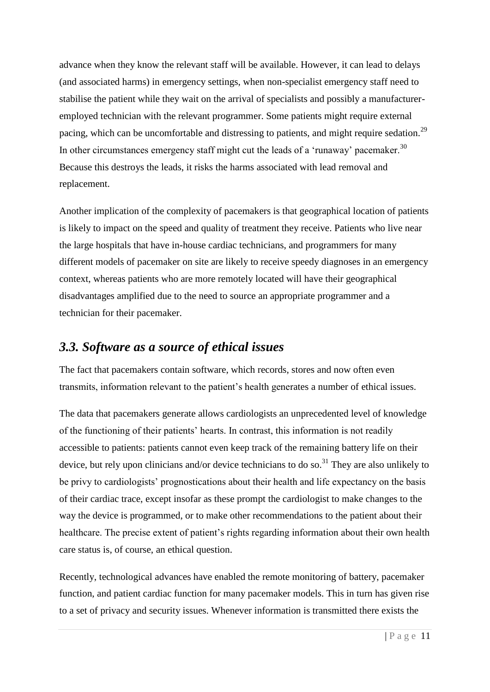advance when they know the relevant staff will be available. However, it can lead to delays (and associated harms) in emergency settings, when non-specialist emergency staff need to stabilise the patient while they wait on the arrival of specialists and possibly a manufactureremployed technician with the relevant programmer. Some patients might require external pacing, which can be uncomfortable and distressing to patients, and might require sedation.<sup>29</sup> In other circumstances emergency staff might cut the leads of a 'runaway' pacemaker.<sup>30</sup> Because this destroys the leads, it risks the harms associated with lead removal and replacement.

Another implication of the complexity of pacemakers is that geographical location of patients is likely to impact on the speed and quality of treatment they receive. Patients who live near the large hospitals that have in-house cardiac technicians, and programmers for many different models of pacemaker on site are likely to receive speedy diagnoses in an emergency context, whereas patients who are more remotely located will have their geographical disadvantages amplified due to the need to source an appropriate programmer and a technician for their pacemaker.

#### *3.3. Software as a source of ethical issues*

The fact that pacemakers contain software, which records, stores and now often even transmits, information relevant to the patient's health generates a number of ethical issues.

The data that pacemakers generate allows cardiologists an unprecedented level of knowledge of the functioning of their patients' hearts. In contrast, this information is not readily accessible to patients: patients cannot even keep track of the remaining battery life on their device, but rely upon clinicians and/or device technicians to do so.<sup>31</sup> They are also unlikely to be privy to cardiologists' prognostications about their health and life expectancy on the basis of their cardiac trace, except insofar as these prompt the cardiologist to make changes to the way the device is programmed, or to make other recommendations to the patient about their healthcare. The precise extent of patient's rights regarding information about their own health care status is, of course, an ethical question.

Recently, technological advances have enabled the remote monitoring of battery, pacemaker function, and patient cardiac function for many pacemaker models. This in turn has given rise to a set of privacy and security issues. Whenever information is transmitted there exists the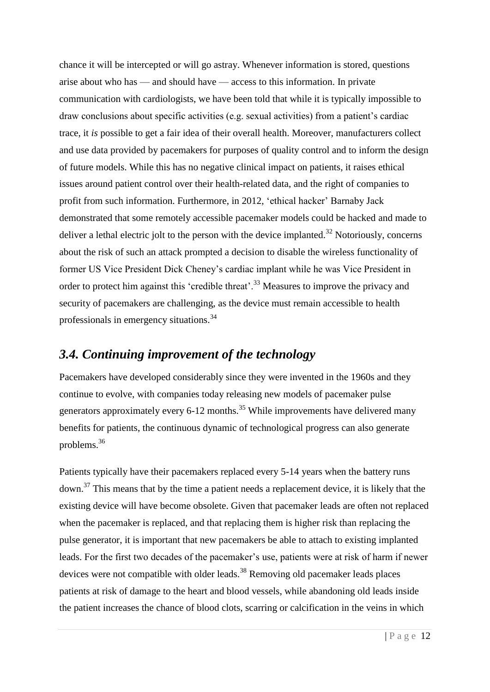chance it will be intercepted or will go astray. Whenever information is stored, questions arise about who has — and should have — access to this information. In private communication with cardiologists, we have been told that while it is typically impossible to draw conclusions about specific activities (e.g. sexual activities) from a patient's cardiac trace, it *is* possible to get a fair idea of their overall health. Moreover, manufacturers collect and use data provided by pacemakers for purposes of quality control and to inform the design of future models. While this has no negative clinical impact on patients, it raises ethical issues around patient control over their health-related data, and the right of companies to profit from such information. Furthermore, in 2012, 'ethical hacker' Barnaby Jack demonstrated that some remotely accessible pacemaker models could be hacked and made to deliver a lethal electric jolt to the person with the device implanted.<sup>32</sup> Notoriously, concerns about the risk of such an attack prompted a decision to disable the wireless functionality of former US Vice President Dick Cheney's cardiac implant while he was Vice President in order to protect him against this 'credible threat'.<sup>33</sup> Measures to improve the privacy and security of pacemakers are challenging, as the device must remain accessible to health professionals in emergency situations.<sup>34</sup>

#### *3.4. Continuing improvement of the technology*

Pacemakers have developed considerably since they were invented in the 1960s and they continue to evolve, with companies today releasing new models of pacemaker pulse generators approximately every  $6-12$  months.<sup>35</sup> While improvements have delivered many benefits for patients, the continuous dynamic of technological progress can also generate problems.<sup>36</sup>

Patients typically have their pacemakers replaced every 5-14 years when the battery runs down.<sup>37</sup> This means that by the time a patient needs a replacement device, it is likely that the existing device will have become obsolete. Given that pacemaker leads are often not replaced when the pacemaker is replaced, and that replacing them is higher risk than replacing the pulse generator, it is important that new pacemakers be able to attach to existing implanted leads. For the first two decades of the pacemaker's use, patients were at risk of harm if newer devices were not compatible with older leads.<sup>38</sup> Removing old pacemaker leads places patients at risk of damage to the heart and blood vessels, while abandoning old leads inside the patient increases the chance of blood clots, scarring or calcification in the veins in which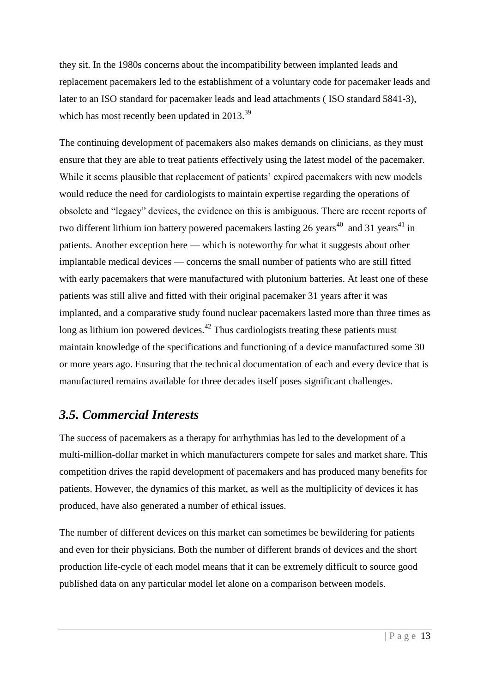they sit. In the 1980s concerns about the incompatibility between implanted leads and replacement pacemakers led to the establishment of a voluntary code for pacemaker leads and later to an ISO standard for pacemaker leads and lead attachments ( ISO standard 5841-3), which has most recently been updated in  $2013.<sup>39</sup>$ 

The continuing development of pacemakers also makes demands on clinicians, as they must ensure that they are able to treat patients effectively using the latest model of the pacemaker. While it seems plausible that replacement of patients' expired pacemakers with new models would reduce the need for cardiologists to maintain expertise regarding the operations of obsolete and "legacy" devices, the evidence on this is ambiguous. There are recent reports of two different lithium ion battery powered pacemakers lasting 26 years<sup>40</sup> and 31 years<sup>41</sup> in patients. Another exception here — which is noteworthy for what it suggests about other implantable medical devices — concerns the small number of patients who are still fitted with early pacemakers that were manufactured with plutonium batteries. At least one of these patients was still alive and fitted with their original pacemaker 31 years after it was implanted, and a comparative study found nuclear pacemakers lasted more than three times as long as lithium ion powered devices.<sup>42</sup> Thus cardiologists treating these patients must maintain knowledge of the specifications and functioning of a device manufactured some 30 or more years ago. Ensuring that the technical documentation of each and every device that is manufactured remains available for three decades itself poses significant challenges.

#### *3.5. Commercial Interests*

The success of pacemakers as a therapy for arrhythmias has led to the development of a multi-million-dollar market in which manufacturers compete for sales and market share. This competition drives the rapid development of pacemakers and has produced many benefits for patients. However, the dynamics of this market, as well as the multiplicity of devices it has produced, have also generated a number of ethical issues.

The number of different devices on this market can sometimes be bewildering for patients and even for their physicians. Both the number of different brands of devices and the short production life-cycle of each model means that it can be extremely difficult to source good published data on any particular model let alone on a comparison between models.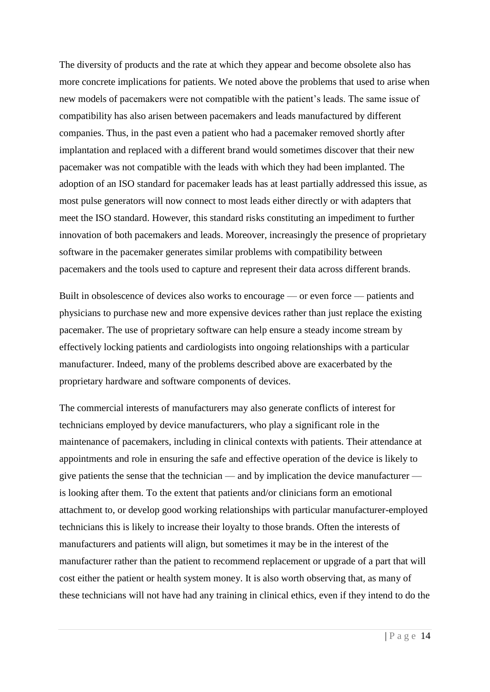The diversity of products and the rate at which they appear and become obsolete also has more concrete implications for patients. We noted above the problems that used to arise when new models of pacemakers were not compatible with the patient's leads. The same issue of compatibility has also arisen between pacemakers and leads manufactured by different companies. Thus, in the past even a patient who had a pacemaker removed shortly after implantation and replaced with a different brand would sometimes discover that their new pacemaker was not compatible with the leads with which they had been implanted. The adoption of an ISO standard for pacemaker leads has at least partially addressed this issue, as most pulse generators will now connect to most leads either directly or with adapters that meet the ISO standard. However, this standard risks constituting an impediment to further innovation of both pacemakers and leads. Moreover, increasingly the presence of proprietary software in the pacemaker generates similar problems with compatibility between pacemakers and the tools used to capture and represent their data across different brands.

Built in obsolescence of devices also works to encourage — or even force — patients and physicians to purchase new and more expensive devices rather than just replace the existing pacemaker. The use of proprietary software can help ensure a steady income stream by effectively locking patients and cardiologists into ongoing relationships with a particular manufacturer. Indeed, many of the problems described above are exacerbated by the proprietary hardware and software components of devices.

The commercial interests of manufacturers may also generate conflicts of interest for technicians employed by device manufacturers, who play a significant role in the maintenance of pacemakers, including in clinical contexts with patients. Their attendance at appointments and role in ensuring the safe and effective operation of the device is likely to give patients the sense that the technician — and by implication the device manufacturer is looking after them. To the extent that patients and/or clinicians form an emotional attachment to, or develop good working relationships with particular manufacturer-employed technicians this is likely to increase their loyalty to those brands. Often the interests of manufacturers and patients will align, but sometimes it may be in the interest of the manufacturer rather than the patient to recommend replacement or upgrade of a part that will cost either the patient or health system money. It is also worth observing that, as many of these technicians will not have had any training in clinical ethics, even if they intend to do the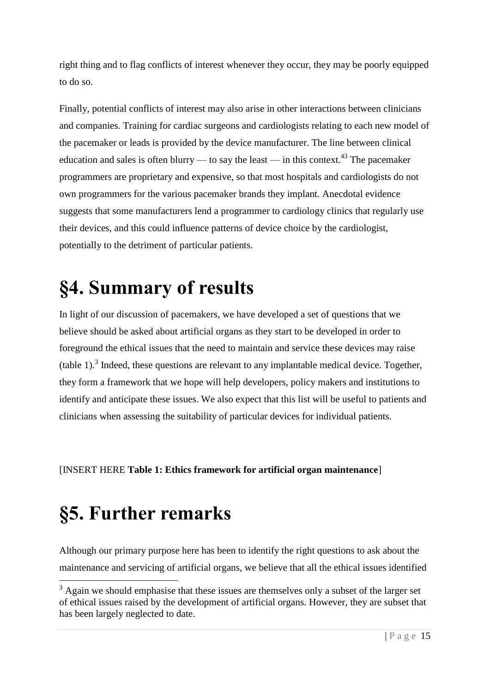right thing and to flag conflicts of interest whenever they occur, they may be poorly equipped to do so.

Finally, potential conflicts of interest may also arise in other interactions between clinicians and companies. Training for cardiac surgeons and cardiologists relating to each new model of the pacemaker or leads is provided by the device manufacturer. The line between clinical education and sales is often blurry — to say the least — in this context.<sup>43</sup> The pacemaker programmers are proprietary and expensive, so that most hospitals and cardiologists do not own programmers for the various pacemaker brands they implant. Anecdotal evidence suggests that some manufacturers lend a programmer to cardiology clinics that regularly use their devices, and this could influence patterns of device choice by the cardiologist, potentially to the detriment of particular patients.

## **§4. Summary of results**

In light of our discussion of pacemakers, we have developed a set of questions that we believe should be asked about artificial organs as they start to be developed in order to foreground the ethical issues that the need to maintain and service these devices may raise (table 1).<sup>3</sup> Indeed, these questions are relevant to any implantable medical device. Together, they form a framework that we hope will help developers, policy makers and institutions to identify and anticipate these issues. We also expect that this list will be useful to patients and clinicians when assessing the suitability of particular devices for individual patients.

[INSERT HERE **Table 1: Ethics framework for artificial organ maintenance**]

# **§5. Further remarks**

1

Although our primary purpose here has been to identify the right questions to ask about the maintenance and servicing of artificial organs, we believe that all the ethical issues identified

 $3$  Again we should emphasise that these issues are themselves only a subset of the larger set of ethical issues raised by the development of artificial organs. However, they are subset that has been largely neglected to date.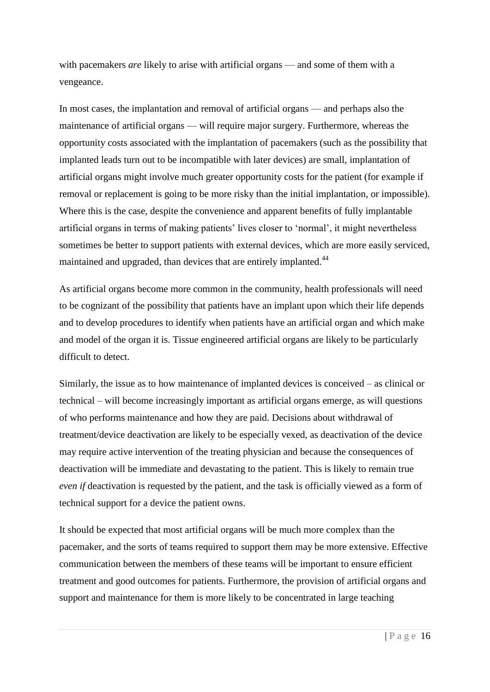with pacemakers *are* likely to arise with artificial organs — and some of them with a vengeance.

In most cases, the implantation and removal of artificial organs — and perhaps also the maintenance of artificial organs — will require major surgery. Furthermore, whereas the opportunity costs associated with the implantation of pacemakers (such as the possibility that implanted leads turn out to be incompatible with later devices) are small, implantation of artificial organs might involve much greater opportunity costs for the patient (for example if removal or replacement is going to be more risky than the initial implantation, or impossible). Where this is the case, despite the convenience and apparent benefits of fully implantable artificial organs in terms of making patients' lives closer to 'normal', it might nevertheless sometimes be better to support patients with external devices, which are more easily serviced, maintained and upgraded, than devices that are entirely implanted.<sup>44</sup>

As artificial organs become more common in the community, health professionals will need to be cognizant of the possibility that patients have an implant upon which their life depends and to develop procedures to identify when patients have an artificial organ and which make and model of the organ it is. Tissue engineered artificial organs are likely to be particularly difficult to detect.

Similarly, the issue as to how maintenance of implanted devices is conceived – as clinical or technical – will become increasingly important as artificial organs emerge, as will questions of who performs maintenance and how they are paid. Decisions about withdrawal of treatment/device deactivation are likely to be especially vexed, as deactivation of the device may require active intervention of the treating physician and because the consequences of deactivation will be immediate and devastating to the patient. This is likely to remain true *even if* deactivation is requested by the patient, and the task is officially viewed as a form of technical support for a device the patient owns.

It should be expected that most artificial organs will be much more complex than the pacemaker, and the sorts of teams required to support them may be more extensive. Effective communication between the members of these teams will be important to ensure efficient treatment and good outcomes for patients. Furthermore, the provision of artificial organs and support and maintenance for them is more likely to be concentrated in large teaching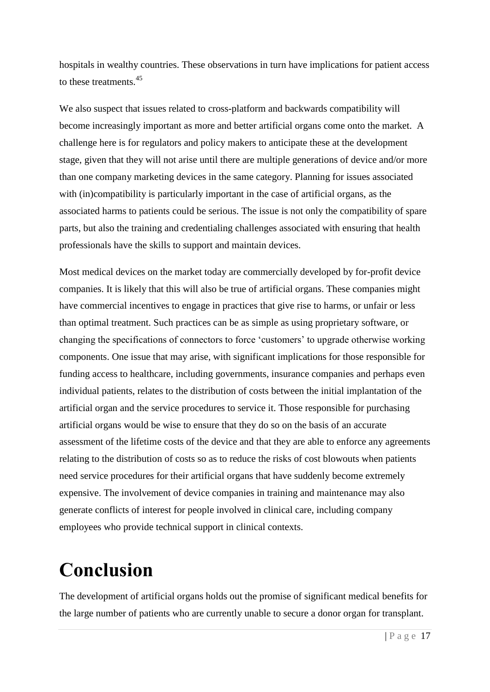hospitals in wealthy countries. These observations in turn have implications for patient access to these treatments.<sup>45</sup>

We also suspect that issues related to cross-platform and backwards compatibility will become increasingly important as more and better artificial organs come onto the market. A challenge here is for regulators and policy makers to anticipate these at the development stage, given that they will not arise until there are multiple generations of device and/or more than one company marketing devices in the same category. Planning for issues associated with (in)compatibility is particularly important in the case of artificial organs, as the associated harms to patients could be serious. The issue is not only the compatibility of spare parts, but also the training and credentialing challenges associated with ensuring that health professionals have the skills to support and maintain devices.

Most medical devices on the market today are commercially developed by for-profit device companies. It is likely that this will also be true of artificial organs. These companies might have commercial incentives to engage in practices that give rise to harms, or unfair or less than optimal treatment. Such practices can be as simple as using proprietary software, or changing the specifications of connectors to force 'customers' to upgrade otherwise working components. One issue that may arise, with significant implications for those responsible for funding access to healthcare, including governments, insurance companies and perhaps even individual patients, relates to the distribution of costs between the initial implantation of the artificial organ and the service procedures to service it. Those responsible for purchasing artificial organs would be wise to ensure that they do so on the basis of an accurate assessment of the lifetime costs of the device and that they are able to enforce any agreements relating to the distribution of costs so as to reduce the risks of cost blowouts when patients need service procedures for their artificial organs that have suddenly become extremely expensive. The involvement of device companies in training and maintenance may also generate conflicts of interest for people involved in clinical care, including company employees who provide technical support in clinical contexts.

### **Conclusion**

The development of artificial organs holds out the promise of significant medical benefits for the large number of patients who are currently unable to secure a donor organ for transplant.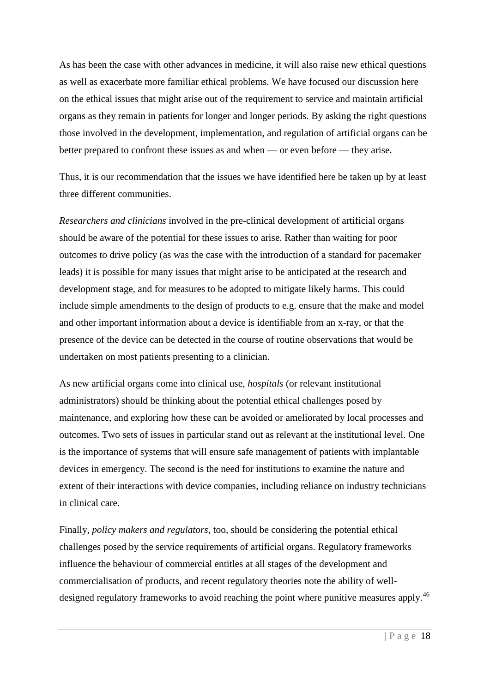As has been the case with other advances in medicine, it will also raise new ethical questions as well as exacerbate more familiar ethical problems. We have focused our discussion here on the ethical issues that might arise out of the requirement to service and maintain artificial organs as they remain in patients for longer and longer periods. By asking the right questions those involved in the development, implementation, and regulation of artificial organs can be better prepared to confront these issues as and when — or even before — they arise.

Thus, it is our recommendation that the issues we have identified here be taken up by at least three different communities.

*Researchers and clinicians* involved in the pre-clinical development of artificial organs should be aware of the potential for these issues to arise. Rather than waiting for poor outcomes to drive policy (as was the case with the introduction of a standard for pacemaker leads) it is possible for many issues that might arise to be anticipated at the research and development stage, and for measures to be adopted to mitigate likely harms. This could include simple amendments to the design of products to e.g. ensure that the make and model and other important information about a device is identifiable from an x-ray, or that the presence of the device can be detected in the course of routine observations that would be undertaken on most patients presenting to a clinician.

As new artificial organs come into clinical use, *hospitals* (or relevant institutional administrators) should be thinking about the potential ethical challenges posed by maintenance, and exploring how these can be avoided or ameliorated by local processes and outcomes. Two sets of issues in particular stand out as relevant at the institutional level. One is the importance of systems that will ensure safe management of patients with implantable devices in emergency. The second is the need for institutions to examine the nature and extent of their interactions with device companies, including reliance on industry technicians in clinical care.

Finally, *policy makers and regulators*, too, should be considering the potential ethical challenges posed by the service requirements of artificial organs. Regulatory frameworks influence the behaviour of commercial entitles at all stages of the development and commercialisation of products, and recent regulatory theories note the ability of welldesigned regulatory frameworks to avoid reaching the point where punitive measures apply.<sup>46</sup>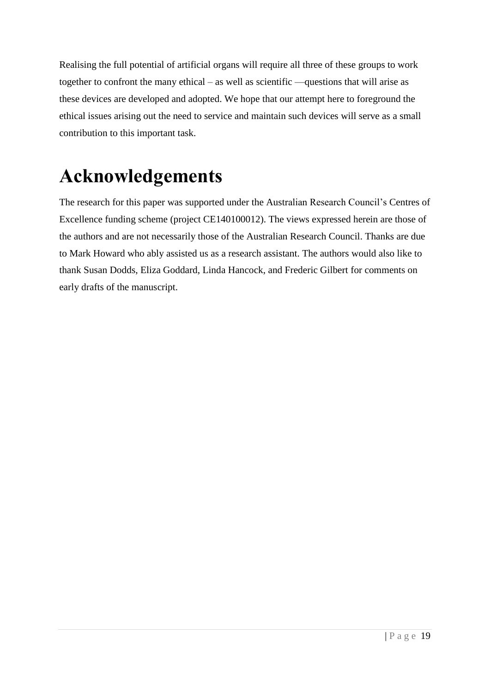Realising the full potential of artificial organs will require all three of these groups to work together to confront the many ethical – as well as scientific —questions that will arise as these devices are developed and adopted. We hope that our attempt here to foreground the ethical issues arising out the need to service and maintain such devices will serve as a small contribution to this important task.

## **Acknowledgements**

The research for this paper was supported under the Australian Research Council's Centres of Excellence funding scheme (project CE140100012). The views expressed herein are those of the authors and are not necessarily those of the Australian Research Council. Thanks are due to Mark Howard who ably assisted us as a research assistant. The authors would also like to thank Susan Dodds, Eliza Goddard, Linda Hancock, and Frederic Gilbert for comments on early drafts of the manuscript.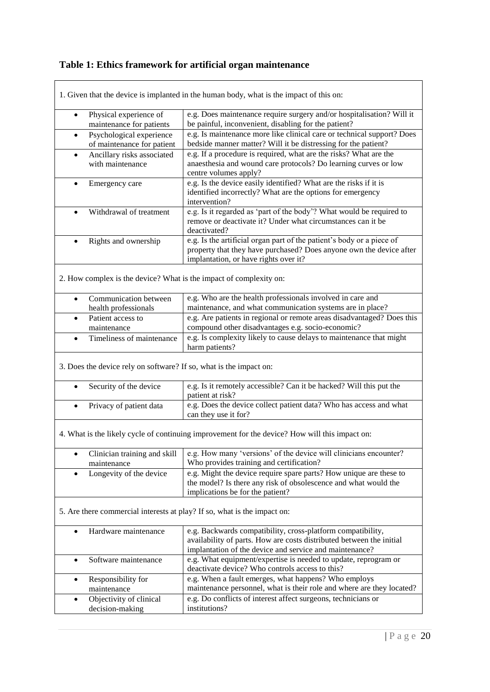### **Table 1: Ethics framework for artificial organ maintenance**

 $\overline{\Gamma}$ 

| e.g. Does maintenance require surgery and/or hospitalisation? Will it<br>Physical experience of<br>$\bullet$<br>be painful, inconvenient, disabling for the patient?<br>maintenance for patients<br>e.g. Is maintenance more like clinical care or technical support? Does<br>Psychological experience<br>$\bullet$<br>bedside manner matter? Will it be distressing for the patient?<br>of maintenance for patient<br>e.g. If a procedure is required, what are the risks? What are the<br>Ancillary risks associated<br>$\bullet$<br>anaesthesia and wound care protocols? Do learning curves or low<br>with maintenance<br>centre volumes apply?<br>e.g. Is the device easily identified? What are the risks if it is<br>Emergency care<br>$\bullet$<br>identified incorrectly? What are the options for emergency<br>intervention?<br>e.g. Is it regarded as 'part of the body'? What would be required to<br>Withdrawal of treatment<br>$\bullet$<br>remove or deactivate it? Under what circumstances can it be<br>deactivated?<br>e.g. Is the artificial organ part of the patient's body or a piece of<br>Rights and ownership<br>$\bullet$<br>property that they have purchased? Does anyone own the device after<br>implantation, or have rights over it?<br>2. How complex is the device? What is the impact of complexity on:<br>e.g. Who are the health professionals involved in care and<br>Communication between<br>$\bullet$<br>maintenance, and what communication systems are in place?<br>health professionals<br>e.g. Are patients in regional or remote areas disadvantaged? Does this<br>Patient access to<br>$\bullet$<br>compound other disadvantages e.g. socio-economic?<br>maintenance<br>e.g. Is complexity likely to cause delays to maintenance that might<br>Timeliness of maintenance<br>$\bullet$<br>harm patients?<br>3. Does the device rely on software? If so, what is the impact on:<br>e.g. Is it remotely accessible? Can it be hacked? Will this put the<br>Security of the device<br>$\bullet$<br>patient at risk?<br>e.g. Does the device collect patient data? Who has access and what<br>Privacy of patient data<br>$\bullet$<br>can they use it for?<br>4. What is the likely cycle of continuing improvement for the device? How will this impact on:<br>e.g. How many 'versions' of the device will clinicians encounter?<br>Clinician training and skill<br>$\bullet$<br>Who provides training and certification?<br>maintenance<br>e.g. Might the device require spare parts? How unique are these to<br>Longevity of the device<br>the model? Is there any risk of obsolescence and what would the<br>implications be for the patient? |
|--------------------------------------------------------------------------------------------------------------------------------------------------------------------------------------------------------------------------------------------------------------------------------------------------------------------------------------------------------------------------------------------------------------------------------------------------------------------------------------------------------------------------------------------------------------------------------------------------------------------------------------------------------------------------------------------------------------------------------------------------------------------------------------------------------------------------------------------------------------------------------------------------------------------------------------------------------------------------------------------------------------------------------------------------------------------------------------------------------------------------------------------------------------------------------------------------------------------------------------------------------------------------------------------------------------------------------------------------------------------------------------------------------------------------------------------------------------------------------------------------------------------------------------------------------------------------------------------------------------------------------------------------------------------------------------------------------------------------------------------------------------------------------------------------------------------------------------------------------------------------------------------------------------------------------------------------------------------------------------------------------------------------------------------------------------------------------------------------------------------------------------------------------------------------------------------------------------------------------------------------------------------------------------------------------------------------------------------------------------------------------------------------------------------------------------------------------------------------------------------------------------------------------------------------------------------------------------------------------------------------------------------------------------------------------------------|
|                                                                                                                                                                                                                                                                                                                                                                                                                                                                                                                                                                                                                                                                                                                                                                                                                                                                                                                                                                                                                                                                                                                                                                                                                                                                                                                                                                                                                                                                                                                                                                                                                                                                                                                                                                                                                                                                                                                                                                                                                                                                                                                                                                                                                                                                                                                                                                                                                                                                                                                                                                                                                                                                                            |
|                                                                                                                                                                                                                                                                                                                                                                                                                                                                                                                                                                                                                                                                                                                                                                                                                                                                                                                                                                                                                                                                                                                                                                                                                                                                                                                                                                                                                                                                                                                                                                                                                                                                                                                                                                                                                                                                                                                                                                                                                                                                                                                                                                                                                                                                                                                                                                                                                                                                                                                                                                                                                                                                                            |
|                                                                                                                                                                                                                                                                                                                                                                                                                                                                                                                                                                                                                                                                                                                                                                                                                                                                                                                                                                                                                                                                                                                                                                                                                                                                                                                                                                                                                                                                                                                                                                                                                                                                                                                                                                                                                                                                                                                                                                                                                                                                                                                                                                                                                                                                                                                                                                                                                                                                                                                                                                                                                                                                                            |
|                                                                                                                                                                                                                                                                                                                                                                                                                                                                                                                                                                                                                                                                                                                                                                                                                                                                                                                                                                                                                                                                                                                                                                                                                                                                                                                                                                                                                                                                                                                                                                                                                                                                                                                                                                                                                                                                                                                                                                                                                                                                                                                                                                                                                                                                                                                                                                                                                                                                                                                                                                                                                                                                                            |
|                                                                                                                                                                                                                                                                                                                                                                                                                                                                                                                                                                                                                                                                                                                                                                                                                                                                                                                                                                                                                                                                                                                                                                                                                                                                                                                                                                                                                                                                                                                                                                                                                                                                                                                                                                                                                                                                                                                                                                                                                                                                                                                                                                                                                                                                                                                                                                                                                                                                                                                                                                                                                                                                                            |
|                                                                                                                                                                                                                                                                                                                                                                                                                                                                                                                                                                                                                                                                                                                                                                                                                                                                                                                                                                                                                                                                                                                                                                                                                                                                                                                                                                                                                                                                                                                                                                                                                                                                                                                                                                                                                                                                                                                                                                                                                                                                                                                                                                                                                                                                                                                                                                                                                                                                                                                                                                                                                                                                                            |
|                                                                                                                                                                                                                                                                                                                                                                                                                                                                                                                                                                                                                                                                                                                                                                                                                                                                                                                                                                                                                                                                                                                                                                                                                                                                                                                                                                                                                                                                                                                                                                                                                                                                                                                                                                                                                                                                                                                                                                                                                                                                                                                                                                                                                                                                                                                                                                                                                                                                                                                                                                                                                                                                                            |
|                                                                                                                                                                                                                                                                                                                                                                                                                                                                                                                                                                                                                                                                                                                                                                                                                                                                                                                                                                                                                                                                                                                                                                                                                                                                                                                                                                                                                                                                                                                                                                                                                                                                                                                                                                                                                                                                                                                                                                                                                                                                                                                                                                                                                                                                                                                                                                                                                                                                                                                                                                                                                                                                                            |
|                                                                                                                                                                                                                                                                                                                                                                                                                                                                                                                                                                                                                                                                                                                                                                                                                                                                                                                                                                                                                                                                                                                                                                                                                                                                                                                                                                                                                                                                                                                                                                                                                                                                                                                                                                                                                                                                                                                                                                                                                                                                                                                                                                                                                                                                                                                                                                                                                                                                                                                                                                                                                                                                                            |
|                                                                                                                                                                                                                                                                                                                                                                                                                                                                                                                                                                                                                                                                                                                                                                                                                                                                                                                                                                                                                                                                                                                                                                                                                                                                                                                                                                                                                                                                                                                                                                                                                                                                                                                                                                                                                                                                                                                                                                                                                                                                                                                                                                                                                                                                                                                                                                                                                                                                                                                                                                                                                                                                                            |
|                                                                                                                                                                                                                                                                                                                                                                                                                                                                                                                                                                                                                                                                                                                                                                                                                                                                                                                                                                                                                                                                                                                                                                                                                                                                                                                                                                                                                                                                                                                                                                                                                                                                                                                                                                                                                                                                                                                                                                                                                                                                                                                                                                                                                                                                                                                                                                                                                                                                                                                                                                                                                                                                                            |
|                                                                                                                                                                                                                                                                                                                                                                                                                                                                                                                                                                                                                                                                                                                                                                                                                                                                                                                                                                                                                                                                                                                                                                                                                                                                                                                                                                                                                                                                                                                                                                                                                                                                                                                                                                                                                                                                                                                                                                                                                                                                                                                                                                                                                                                                                                                                                                                                                                                                                                                                                                                                                                                                                            |
|                                                                                                                                                                                                                                                                                                                                                                                                                                                                                                                                                                                                                                                                                                                                                                                                                                                                                                                                                                                                                                                                                                                                                                                                                                                                                                                                                                                                                                                                                                                                                                                                                                                                                                                                                                                                                                                                                                                                                                                                                                                                                                                                                                                                                                                                                                                                                                                                                                                                                                                                                                                                                                                                                            |
|                                                                                                                                                                                                                                                                                                                                                                                                                                                                                                                                                                                                                                                                                                                                                                                                                                                                                                                                                                                                                                                                                                                                                                                                                                                                                                                                                                                                                                                                                                                                                                                                                                                                                                                                                                                                                                                                                                                                                                                                                                                                                                                                                                                                                                                                                                                                                                                                                                                                                                                                                                                                                                                                                            |
|                                                                                                                                                                                                                                                                                                                                                                                                                                                                                                                                                                                                                                                                                                                                                                                                                                                                                                                                                                                                                                                                                                                                                                                                                                                                                                                                                                                                                                                                                                                                                                                                                                                                                                                                                                                                                                                                                                                                                                                                                                                                                                                                                                                                                                                                                                                                                                                                                                                                                                                                                                                                                                                                                            |
|                                                                                                                                                                                                                                                                                                                                                                                                                                                                                                                                                                                                                                                                                                                                                                                                                                                                                                                                                                                                                                                                                                                                                                                                                                                                                                                                                                                                                                                                                                                                                                                                                                                                                                                                                                                                                                                                                                                                                                                                                                                                                                                                                                                                                                                                                                                                                                                                                                                                                                                                                                                                                                                                                            |
|                                                                                                                                                                                                                                                                                                                                                                                                                                                                                                                                                                                                                                                                                                                                                                                                                                                                                                                                                                                                                                                                                                                                                                                                                                                                                                                                                                                                                                                                                                                                                                                                                                                                                                                                                                                                                                                                                                                                                                                                                                                                                                                                                                                                                                                                                                                                                                                                                                                                                                                                                                                                                                                                                            |
| 5. Are there commercial interests at play? If so, what is the impact on:                                                                                                                                                                                                                                                                                                                                                                                                                                                                                                                                                                                                                                                                                                                                                                                                                                                                                                                                                                                                                                                                                                                                                                                                                                                                                                                                                                                                                                                                                                                                                                                                                                                                                                                                                                                                                                                                                                                                                                                                                                                                                                                                                                                                                                                                                                                                                                                                                                                                                                                                                                                                                   |
| e.g. Backwards compatibility, cross-platform compatibility,<br>Hardware maintenance<br>$\bullet$<br>availability of parts. How are costs distributed between the initial<br>implantation of the device and service and maintenance?                                                                                                                                                                                                                                                                                                                                                                                                                                                                                                                                                                                                                                                                                                                                                                                                                                                                                                                                                                                                                                                                                                                                                                                                                                                                                                                                                                                                                                                                                                                                                                                                                                                                                                                                                                                                                                                                                                                                                                                                                                                                                                                                                                                                                                                                                                                                                                                                                                                        |
| e.g. What equipment/expertise is needed to update, reprogram or<br>Software maintenance<br>$\bullet$<br>deactivate device? Who controls access to this?                                                                                                                                                                                                                                                                                                                                                                                                                                                                                                                                                                                                                                                                                                                                                                                                                                                                                                                                                                                                                                                                                                                                                                                                                                                                                                                                                                                                                                                                                                                                                                                                                                                                                                                                                                                                                                                                                                                                                                                                                                                                                                                                                                                                                                                                                                                                                                                                                                                                                                                                    |
| e.g. When a fault emerges, what happens? Who employs<br>Responsibility for<br>$\bullet$<br>maintenance personnel, what is their role and where are they located?<br>maintenance                                                                                                                                                                                                                                                                                                                                                                                                                                                                                                                                                                                                                                                                                                                                                                                                                                                                                                                                                                                                                                                                                                                                                                                                                                                                                                                                                                                                                                                                                                                                                                                                                                                                                                                                                                                                                                                                                                                                                                                                                                                                                                                                                                                                                                                                                                                                                                                                                                                                                                            |
| e.g. Do conflicts of interest affect surgeons, technicians or<br>Objectivity of clinical<br>$\bullet$                                                                                                                                                                                                                                                                                                                                                                                                                                                                                                                                                                                                                                                                                                                                                                                                                                                                                                                                                                                                                                                                                                                                                                                                                                                                                                                                                                                                                                                                                                                                                                                                                                                                                                                                                                                                                                                                                                                                                                                                                                                                                                                                                                                                                                                                                                                                                                                                                                                                                                                                                                                      |
| institutions?<br>decision-making                                                                                                                                                                                                                                                                                                                                                                                                                                                                                                                                                                                                                                                                                                                                                                                                                                                                                                                                                                                                                                                                                                                                                                                                                                                                                                                                                                                                                                                                                                                                                                                                                                                                                                                                                                                                                                                                                                                                                                                                                                                                                                                                                                                                                                                                                                                                                                                                                                                                                                                                                                                                                                                           |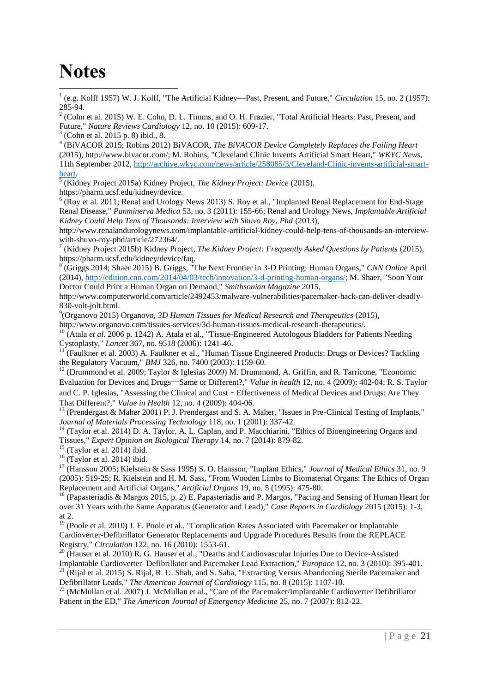### **Notes**

1

1 (e.g. Kolff 1957) W. J. Kolff, "The Artificial Kidney—Past, Present, and Future," *Circulation* 15, no. 2 (1957): 285-94.

<sup>2</sup> (Cohn et al. 2015) W. E. Cohn, D. L. Timms, and O. H. Frazier, "Total Artificial Hearts: Past, Present, and Future," *Nature Reviews Cardiology* 12, no. 10 (2015): 609-17.

3 (Cohn et al. 2015 p. 8) ibid., 8.

4 (BiVACOR 2015; Robins 2012) BiVACOR, *The BiVACOR Device Completely Replaces the Failing Heart* (2015), http://www.bivacor.com/; M. Robins, "Cleveland Clinic Invents Artificial Smart Heart," *WKYC News*, 11th September 2012, http://archive.wkyc.com/news/article/258085/3/Cleveland-Clinic-invents-artificial-smartheart.

(Kidney Project 2015a) Kidney Project, *The Kidney Project: Device* (2015), https://pharm.ucsf.edu/kidney/device.

<sup>6</sup> (Roy et al. 2011; Renal and Urology News 2013) S. Roy et al., "Implanted Renal Replacement for End-Stage Renal Disease," *Panminerva Medica* 53, no. 3 (2011): 155-66; Renal and Urology News, *Implantable Artificial Kidney Could Help Tens of Thousands: Interview with Shuvo Roy, Phd* (2013),

http://www.renalandurologynews.com/implantable-artificial-kidney-could-help-tens-of-thousands-an-interviewwith-shuvo-roy-phd/article/272364/.

7 (Kidney Project 2015b) Kidney Project, *The Kidney Project: Frequently Asked Questions by Patients* (2015), https://pharm.ucsf.edu/kidney/device/faq.

8 (Griggs 2014; Shaer 2015) B. Griggs, "The Next Frontier in 3-D Printing: Human Organs," *CNN Online* April (2014), http://edition.cnn.com/2014/04/03/tech/innovation/3-d-printing-human-organs/; M. Shaer, "Soon Your Doctor Could Print a Human Organ on Demand," *Smithsonian Magazine* 2015,

http://www.computerworld.com/article/2492453/malware-vulnerabilities/pacemaker-hack-can-deliver-deadly-830-volt-jolt.html.

9 (Organovo 2015) Organovo, *3D Human Tissues for Medical Research and Therapeutics* (2015), http://www.organovo.com/tissues-services/3d-human-tissues-medical-research-therapeutics/.

<sup>10</sup> (Atala *et al.* 2006 p. 1242) A. Atala et al., "Tissue-Engineered Autologous Bladders for Patients Needing Cystoplasty," *Lancet* 367, no. 9518 (2006): 1241-46.

<sup>11</sup> (Faulkner et al. 2003) A. Faulkner et al., "Human Tissue Engineered Products: Drugs or Devices? Tackling the Regulatory Vacuum," *BMJ* 326, no. 7400 (2003): 1159-60.

 $12$  (Drummond et al. 2009; Taylor & Iglesias 2009) M. Drummond, A. Griffin, and R. Tarricone, "Economic Evaluation for Devices and Drugs—Same or Different?," *Value in health* 12, no. 4 (2009): 402-04; R. S. Taylor and C. P. Iglesias, "Assessing the Clinical and Cost - Effectiveness of Medical Devices and Drugs: Are They That Different?," *Value in Health* 12, no. 4 (2009): 404-06.

<sup>13</sup> (Prendergast & Maher 2001) P. J. Prendergast and S. A. Maher, "Issues in Pre-Clinical Testing of Implants," *Journal of Materials Processing Technology* 118, no. 1 (2001): 337-42.

<sup>14</sup> (Taylor et al. 2014) D. A. Taylor, A. L. Caplan, and P. Macchiarini, "Ethics of Bioengineering Organs and Tissues," *Expert Opinion on Biological Therapy* 14, no. 7 (2014): 879-82.

<sup>15</sup> (Taylor et al. 2014) ibid.

 $16$  (Taylor et al. 2014) ibid.

<sup>17</sup> (Hansson 2005; Kielstein & Sass 1995) S. O. Hansson, "Implant Ethics," *Journal of Medical Ethics* 31, no. 9 (2005): 519-25; R. Kielstein and H. M. Sass, "From Wooden Limbs to Biomaterial Organs: The Ethics of Organ Replacement and Artificial Organs," *Artificial Organs* 19, no. 5 (1995): 475-80.

<sup>18</sup> (Papasteriadis & Margos 2015, p. 2) E. Papasteriadis and P. Margos, "Pacing and Sensing of Human Heart for over 31 Years with the Same Apparatus (Generator and Lead)," *Case Reports in Cardiology* 2015 (2015): 1-3, at 2.

<sup>19</sup> (Poole et al. 2010) J. E. Poole et al., "Complication Rates Associated with Pacemaker or Implantable Cardioverter-Defibrillator Generator Replacements and Upgrade Procedures Results from the REPLACE Registry," *Circulation* 122, no. 16 (2010): 1553-61.

<sup>20</sup> (Hauser et al. 2010) R. G. Hauser et al., "Deaths and Cardiovascular Injuries Due to Device-Assisted Implantable Cardioverter–Defibrillator and Pacemaker Lead Extraction," *Europace* 12, no. 3 (2010): 395-401. <sup>21</sup> (Rijal et al. 2015) S. Rijal, R. U. Shah, and S. Saba, "Extracting Versus Abandoning Sterile Pacemaker and

Defibrillator Leads," *The American Journal of Cardiology* 115, no. 8 (2015): 1107-10.

<sup>22</sup> (McMullan et al. 2007) J. McMullan et al., "Care of the Pacemaker/Implantable Cardioverter Defibrillator Patient in the ED," *The American Journal of Emergency Medicine* 25, no. 7 (2007): 812-22.